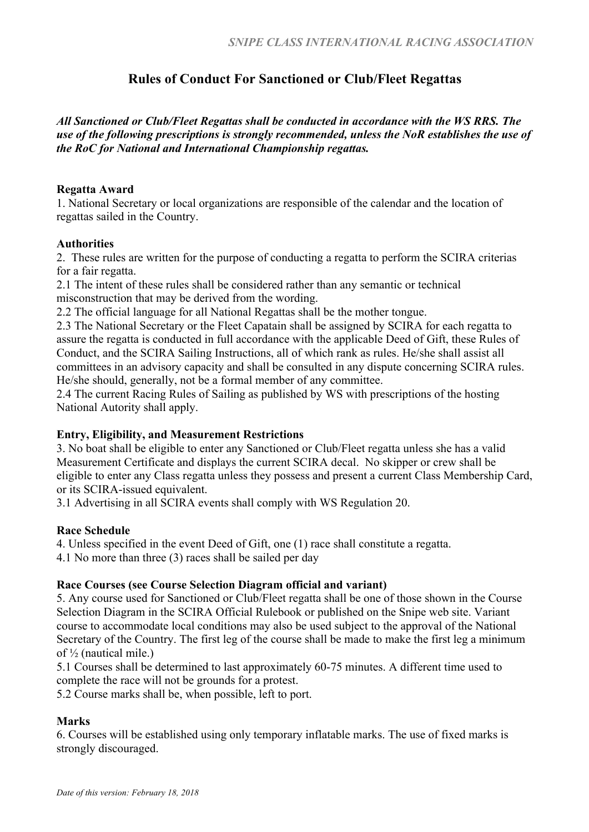# **Rules of Conduct For Sanctioned or Club/Fleet Regattas**

*All Sanctioned or Club/Fleet Regattas shall be conducted in accordance with the WS RRS. The use of the following prescriptions is strongly recommended, unless the NoR establishes the use of the RoC for National and International Championship regattas.* 

#### **Regatta Award**

1. National Secretary or local organizations are responsible of the calendar and the location of regattas sailed in the Country.

#### **Authorities**

2. These rules are written for the purpose of conducting a regatta to perform the SCIRA criterias for a fair regatta.

2.1 The intent of these rules shall be considered rather than any semantic or technical misconstruction that may be derived from the wording.

2.2 The official language for all National Regattas shall be the mother tongue.

2.3 The National Secretary or the Fleet Capatain shall be assigned by SCIRA for each regatta to assure the regatta is conducted in full accordance with the applicable Deed of Gift, these Rules of Conduct, and the SCIRA Sailing Instructions, all of which rank as rules. He/she shall assist all committees in an advisory capacity and shall be consulted in any dispute concerning SCIRA rules. He/she should, generally, not be a formal member of any committee.

2.4 The current Racing Rules of Sailing as published by WS with prescriptions of the hosting National Autority shall apply.

## **Entry, Eligibility, and Measurement Restrictions**

3. No boat shall be eligible to enter any Sanctioned or Club/Fleet regatta unless she has a valid Measurement Certificate and displays the current SCIRA decal. No skipper or crew shall be eligible to enter any Class regatta unless they possess and present a current Class Membership Card, or its SCIRA-issued equivalent.

3.1 Advertising in all SCIRA events shall comply with WS Regulation 20.

## **Race Schedule**

4. Unless specified in the event Deed of Gift, one (1) race shall constitute a regatta.

4.1 No more than three (3) races shall be sailed per day

## **Race Courses (see Course Selection Diagram official and variant)**

5. Any course used for Sanctioned or Club/Fleet regatta shall be one of those shown in the Course Selection Diagram in the SCIRA Official Rulebook or published on the Snipe web site. Variant course to accommodate local conditions may also be used subject to the approval of the National Secretary of the Country. The first leg of the course shall be made to make the first leg a minimum of  $\frac{1}{2}$  (nautical mile.)

5.1 Courses shall be determined to last approximately 60-75 minutes. A different time used to complete the race will not be grounds for a protest.

5.2 Course marks shall be, when possible, left to port.

## **Marks**

6. Courses will be established using only temporary inflatable marks. The use of fixed marks is strongly discouraged.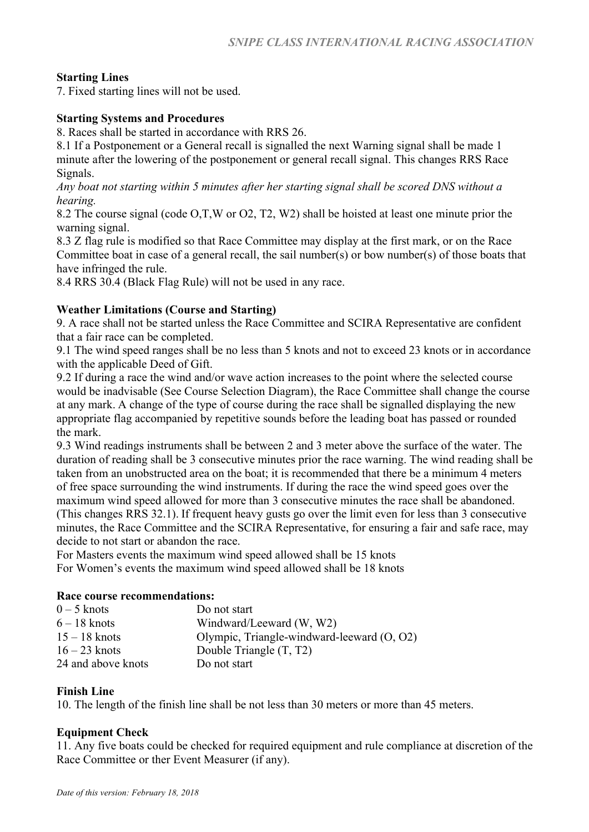## **Starting Lines**

7. Fixed starting lines will not be used.

## **Starting Systems and Procedures**

8. Races shall be started in accordance with RRS 26.

8.1 If a Postponement or a General recall is signalled the next Warning signal shall be made 1 minute after the lowering of the postponement or general recall signal. This changes RRS Race Signals.

*Any boat not starting within 5 minutes after her starting signal shall be scored DNS without a hearing.* 

8.2 The course signal (code O,T,W or O2, T2, W2) shall be hoisted at least one minute prior the warning signal.

8.3 Z flag rule is modified so that Race Committee may display at the first mark, or on the Race Committee boat in case of a general recall, the sail number(s) or bow number(s) of those boats that have infringed the rule.

8.4 RRS 30.4 (Black Flag Rule) will not be used in any race.

## **Weather Limitations (Course and Starting)**

9. A race shall not be started unless the Race Committee and SCIRA Representative are confident that a fair race can be completed.

9.1 The wind speed ranges shall be no less than 5 knots and not to exceed 23 knots or in accordance with the applicable Deed of Gift.

9.2 If during a race the wind and/or wave action increases to the point where the selected course would be inadvisable (See Course Selection Diagram), the Race Committee shall change the course at any mark. A change of the type of course during the race shall be signalled displaying the new appropriate flag accompanied by repetitive sounds before the leading boat has passed or rounded the mark.

9.3 Wind readings instruments shall be between 2 and 3 meter above the surface of the water. The duration of reading shall be 3 consecutive minutes prior the race warning. The wind reading shall be taken from an unobstructed area on the boat; it is recommended that there be a minimum 4 meters of free space surrounding the wind instruments. If during the race the wind speed goes over the maximum wind speed allowed for more than 3 consecutive minutes the race shall be abandoned. (This changes RRS 32.1). If frequent heavy gusts go over the limit even for less than 3 consecutive minutes, the Race Committee and the SCIRA Representative, for ensuring a fair and safe race, may decide to not start or abandon the race.

For Masters events the maximum wind speed allowed shall be 15 knots For Women's events the maximum wind speed allowed shall be 18 knots

#### **Race course recommendations:**

| Do not start                                 |
|----------------------------------------------|
| Windward/Leeward (W, W2)                     |
| Olympic, Triangle-windward-leeward $(0, 02)$ |
| Double Triangle (T, T2)                      |
| Do not start                                 |
|                                              |

## **Finish Line**

10. The length of the finish line shall be not less than 30 meters or more than 45 meters.

## **Equipment Check**

11. Any five boats could be checked for required equipment and rule compliance at discretion of the Race Committee or ther Event Measurer (if any).